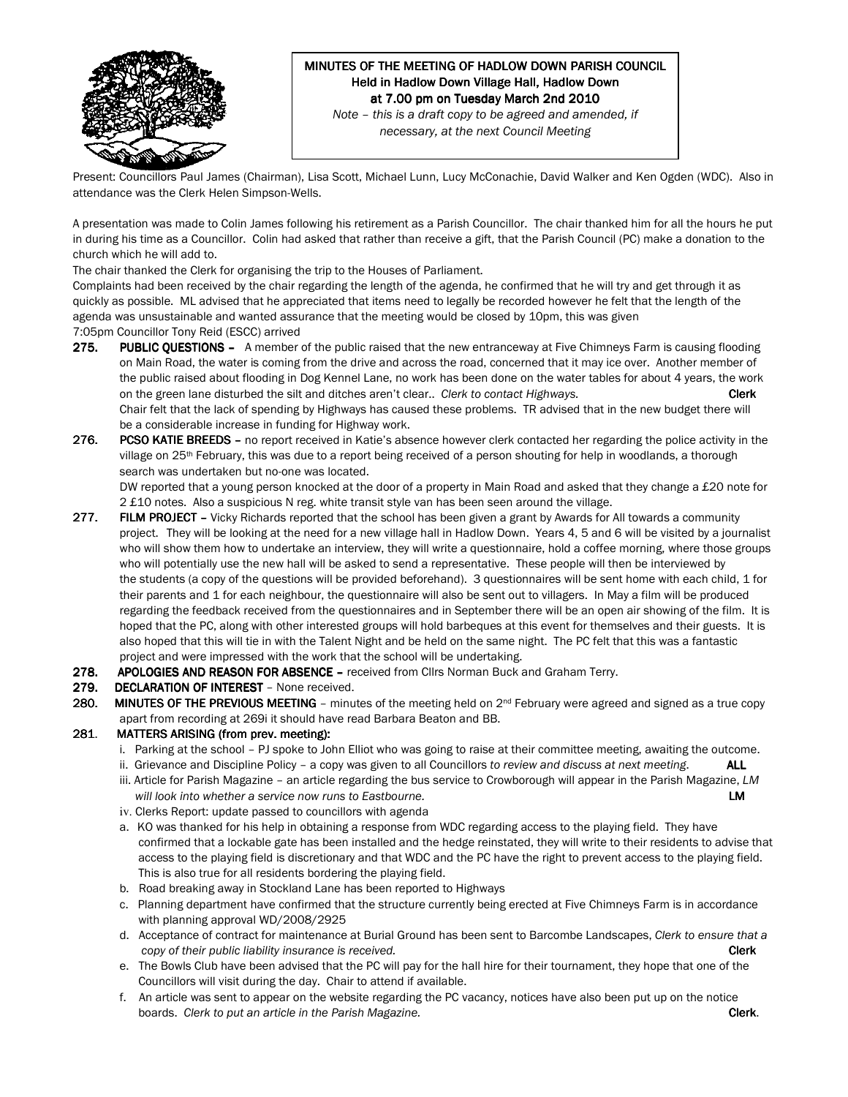

# MINUTES OF THE MEETING OF HADLOW DOWN PARISH COUNCIL Held in Hadlow Down Village Hall, Hadlow Down at 7.00 pm on Tuesday March 2nd 2010

Note – this is a draft copy to be agreed and amended, if necessary, at the next Council Meeting

Present: Councillors Paul James (Chairman), Lisa Scott, Michael Lunn, Lucy McConachie, David Walker and Ken Ogden (WDC). Also in attendance was the Clerk Helen Simpson-Wells.

A presentation was made to Colin James following his retirement as a Parish Councillor. The chair thanked him for all the hours he put in during his time as a Councillor. Colin had asked that rather than receive a gift, that the Parish Council (PC) make a donation to the church which he will add to.

The chair thanked the Clerk for organising the trip to the Houses of Parliament.

Complaints had been received by the chair regarding the length of the agenda, he confirmed that he will try and get through it as quickly as possible. ML advised that he appreciated that items need to legally be recorded however he felt that the length of the agenda was unsustainable and wanted assurance that the meeting would be closed by 10pm, this was given

7:05pm Councillor Tony Reid (ESCC) arrived

- 275. PUBLIC QUESTIONS A member of the public raised that the new entranceway at Five Chimneys Farm is causing flooding on Main Road, the water is coming from the drive and across the road, concerned that it may ice over. Another member of the public raised about flooding in Dog Kennel Lane, no work has been done on the water tables for about 4 years, the work on the green lane disturbed the silt and ditches aren't clear.. Clerk to contact Highways. Clerk Chair felt that the lack of spending by Highways has caused these problems. TR advised that in the new budget there will be a considerable increase in funding for Highway work.
- 276. PCSO KATIE BREEDS no report received in Katie's absence however clerk contacted her regarding the police activity in the village on 25<sup>th</sup> February, this was due to a report being received of a person shouting for help in woodlands, a thorough search was undertaken but no-one was located.

DW reported that a young person knocked at the door of a property in Main Road and asked that they change a £20 note for 2 £10 notes. Also a suspicious N reg. white transit style van has been seen around the village.

- 277. FILM PROJECT Vicky Richards reported that the school has been given a grant by Awards for All towards a community project. They will be looking at the need for a new village hall in Hadlow Down. Years 4, 5 and 6 will be visited by a journalist who will show them how to undertake an interview, they will write a questionnaire, hold a coffee morning, where those groups who will potentially use the new hall will be asked to send a representative. These people will then be interviewed by the students (a copy of the questions will be provided beforehand). 3 questionnaires will be sent home with each child, 1 for their parents and 1 for each neighbour, the questionnaire will also be sent out to villagers. In May a film will be produced regarding the feedback received from the questionnaires and in September there will be an open air showing of the film. It is hoped that the PC, along with other interested groups will hold barbeques at this event for themselves and their guests. It is also hoped that this will tie in with the Talent Night and be held on the same night. The PC felt that this was a fantastic project and were impressed with the work that the school will be undertaking.
- 278. APOLOGIES AND REASON FOR ABSENCE received from Cllrs Norman Buck and Graham Terry.

#### 279. DECLARATION OF INTEREST - None received.

280. MINUTES OF THE PREVIOUS MEETING – minutes of the meeting held on  $2^{nd}$  February were agreed and signed as a true copy apart from recording at 269i it should have read Barbara Beaton and BB.

### 281. MATTERS ARISING (from prev. meeting):

- i. Parking at the school PJ spoke to John Elliot who was going to raise at their committee meeting, awaiting the outcome.
- ii. Grievance and Discipline Policy a copy was given to all Councillors to review and discuss at next meeting.  $ALL$
- iii. Article for Parish Magazine an article regarding the bus service to Crowborough will appear in the Parish Magazine, LM will look into whether a service now runs to Eastbourne. **EXAMPLE 1998 1999 1999 1999 1999 1999 1999**
- iv. Clerks Report: update passed to councillors with agenda
- a. KO was thanked for his help in obtaining a response from WDC regarding access to the playing field. They have confirmed that a lockable gate has been installed and the hedge reinstated, they will write to their residents to advise that access to the playing field is discretionary and that WDC and the PC have the right to prevent access to the playing field. This is also true for all residents bordering the playing field.
- b. Road breaking away in Stockland Lane has been reported to Highways
- c. Planning department have confirmed that the structure currently being erected at Five Chimneys Farm is in accordance with planning approval WD/2008/2925
- d. Acceptance of contract for maintenance at Burial Ground has been sent to Barcombe Landscapes, Clerk to ensure that a copy of their public liability insurance is received. Clerk and the control of their control of their control of the clerk
- e. The Bowls Club have been advised that the PC will pay for the hall hire for their tournament, they hope that one of the Councillors will visit during the day. Chair to attend if available.
- f. An article was sent to appear on the website regarding the PC vacancy, notices have also been put up on the notice boards. Clerk to put an article in the Parish Magazine. Clerk. Clerk.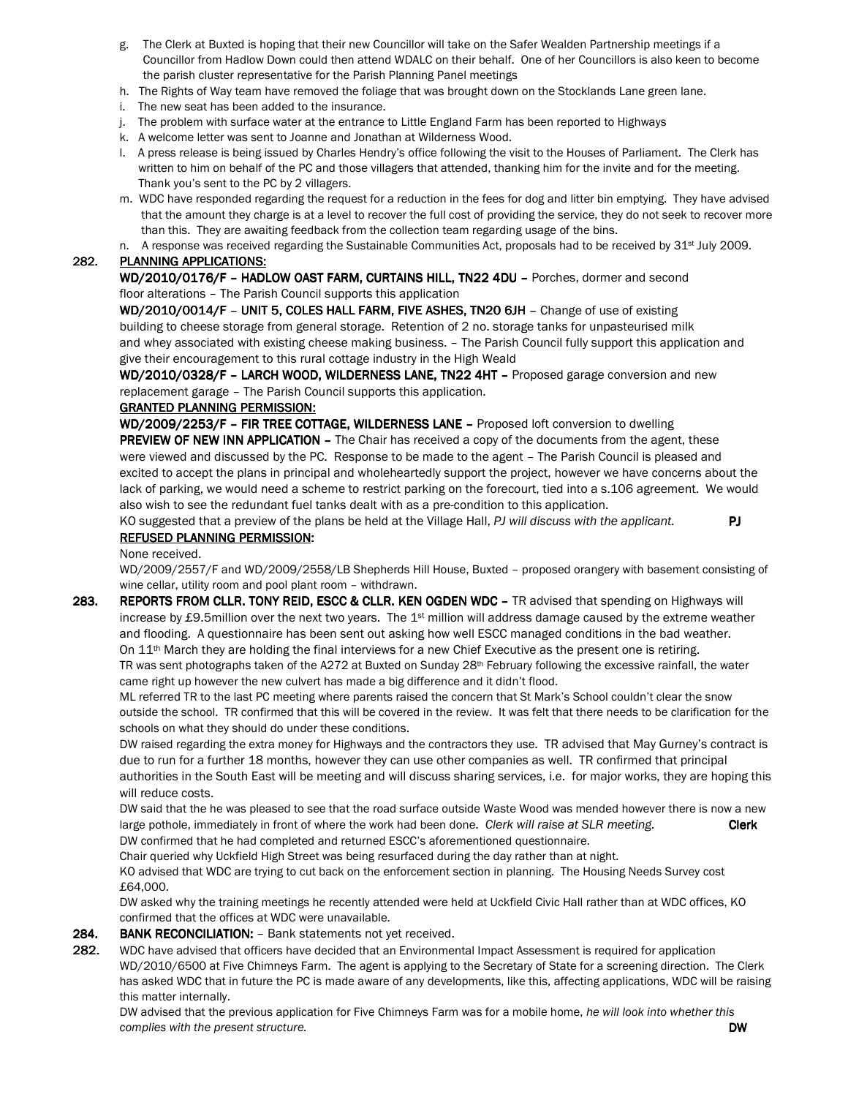- g. The Clerk at Buxted is hoping that their new Councillor will take on the Safer Wealden Partnership meetings if a Councillor from Hadlow Down could then attend WDALC on their behalf. One of her Councillors is also keen to become the parish cluster representative for the Parish Planning Panel meetings
- h. The Rights of Way team have removed the foliage that was brought down on the Stocklands Lane green lane.
- i. The new seat has been added to the insurance.
- j. The problem with surface water at the entrance to Little England Farm has been reported to Highways
- k. A welcome letter was sent to Joanne and Jonathan at Wilderness Wood.
- l. A press release is being issued by Charles Hendry's office following the visit to the Houses of Parliament. The Clerk has written to him on behalf of the PC and those villagers that attended, thanking him for the invite and for the meeting. Thank you's sent to the PC by 2 villagers.
- m. WDC have responded regarding the request for a reduction in the fees for dog and litter bin emptying. They have advised that the amount they charge is at a level to recover the full cost of providing the service, they do not seek to recover more than this. They are awaiting feedback from the collection team regarding usage of the bins.
- n. A response was received regarding the Sustainable Communities Act, proposals had to be received by  $31<sup>st</sup>$  July 2009.

#### 282. PLANNING APPLICATIONS:

WD/2010/0176/F - HADLOW OAST FARM, CURTAINS HILL, TN22 4DU - Porches, dormer and second floor alterations – The Parish Council supports this application

WD/2010/0014/F - UNIT 5, COLES HALL FARM, FIVE ASHES, TN20 6JH - Change of use of existing building to cheese storage from general storage. Retention of 2 no. storage tanks for unpasteurised milk and whey associated with existing cheese making business. – The Parish Council fully support this application and give their encouragement to this rural cottage industry in the High Weald

WD/2010/0328/F - LARCH WOOD, WILDERNESS LANE, TN22 4HT - Proposed garage conversion and new replacement garage – The Parish Council supports this application.

#### **GRANTED PLANNING PERMISSION:**

WD/2009/2253/F - FIR TREE COTTAGE, WILDERNESS LANE - Proposed loft conversion to dwelling PREVIEW OF NEW INN APPLICATION - The Chair has received a copy of the documents from the agent, these were viewed and discussed by the PC. Response to be made to the agent – The Parish Council is pleased and excited to accept the plans in principal and wholeheartedly support the project, however we have concerns about the lack of parking, we would need a scheme to restrict parking on the forecourt, tied into a s.106 agreement. We would also wish to see the redundant fuel tanks dealt with as a pre-condition to this application.

KO suggested that a preview of the plans be held at the Village Hall, PJ will discuss with the applicant. REFUSED PLANNING PERMISSION:

None received.

 WD/2009/2557/F and WD/2009/2558/LB Shepherds Hill House, Buxted – proposed orangery with basement consisting of wine cellar, utility room and pool plant room – withdrawn.

283. REPORTS FROM CLLR. TONY REID, ESCC & CLLR. KEN OGDEN WDC - TR advised that spending on Highways will increase by £9.5million over the next two years. The  $1st$  million will address damage caused by the extreme weather and flooding. A questionnaire has been sent out asking how well ESCC managed conditions in the bad weather. On  $11<sup>th</sup>$  March they are holding the final interviews for a new Chief Executive as the present one is retiring. TR was sent photographs taken of the A272 at Buxted on Sunday  $28<sup>th</sup>$  February following the excessive rainfall, the water came right up however the new culvert has made a big difference and it didn't flood.

ML referred TR to the last PC meeting where parents raised the concern that St Mark's School couldn't clear the snow outside the school. TR confirmed that this will be covered in the review. It was felt that there needs to be clarification for the schools on what they should do under these conditions.

DW raised regarding the extra money for Highways and the contractors they use. TR advised that May Gurney's contract is due to run for a further 18 months, however they can use other companies as well. TR confirmed that principal authorities in the South East will be meeting and will discuss sharing services, i.e. for major works, they are hoping this will reduce costs.

DW said that the he was pleased to see that the road surface outside Waste Wood was mended however there is now a new large pothole, immediately in front of where the work had been done. Clerk will raise at SLR meeting. DW confirmed that he had completed and returned ESCC's aforementioned questionnaire.

Chair queried why Uckfield High Street was being resurfaced during the day rather than at night.

KO advised that WDC are trying to cut back on the enforcement section in planning. The Housing Needs Survey cost £64,000.

DW asked why the training meetings he recently attended were held at Uckfield Civic Hall rather than at WDC offices, KO confirmed that the offices at WDC were unavailable.

#### 284. BANK RECONCILIATION: - Bank statements not yet received.

282. WDC have advised that officers have decided that an Environmental Impact Assessment is required for application WD/2010/6500 at Five Chimneys Farm. The agent is applying to the Secretary of State for a screening direction. The Clerk has asked WDC that in future the PC is made aware of any developments, like this, affecting applications, WDC will be raising this matter internally.

 DW advised that the previous application for Five Chimneys Farm was for a mobile home, he will look into whether this complies with the present structure. DW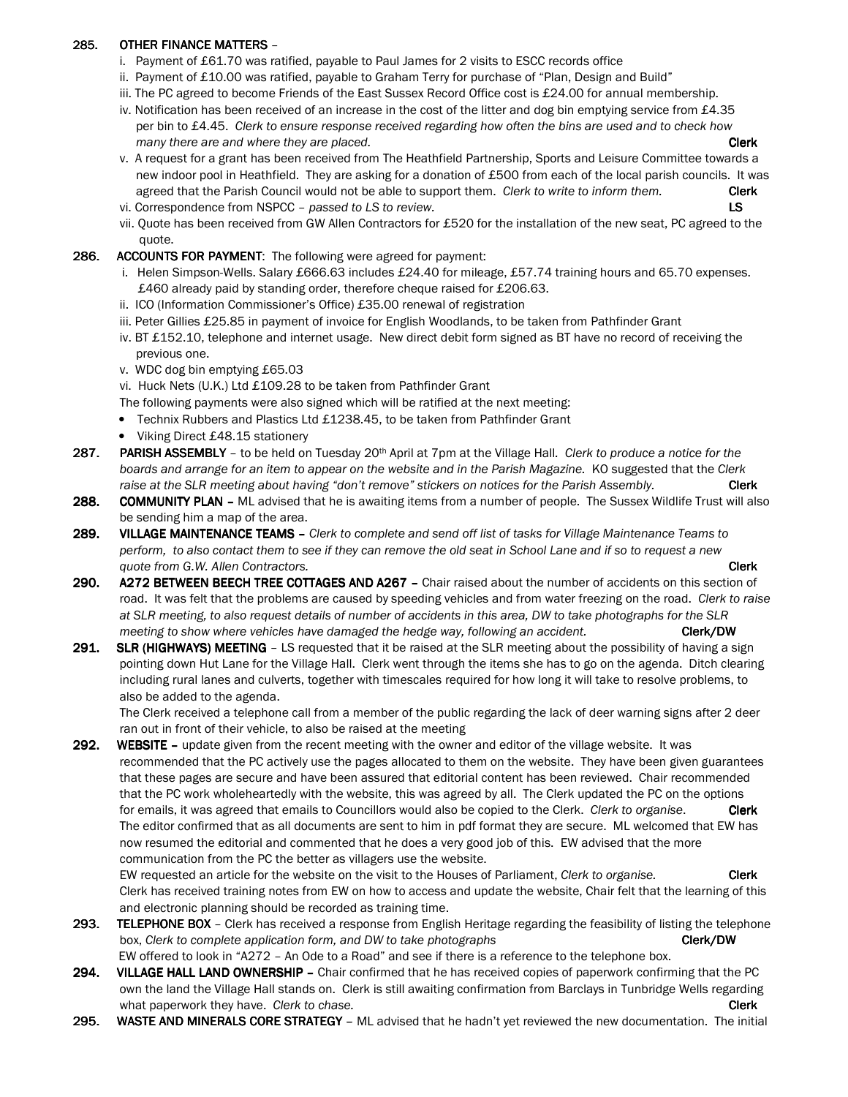### 285. OTHER FINANCE MATTERS -

- i. Payment of £61.70 was ratified, payable to Paul James for 2 visits to ESCC records office
- ii. Payment of £10.00 was ratified, payable to Graham Terry for purchase of "Plan, Design and Build"
- iii. The PC agreed to become Friends of the East Sussex Record Office cost is £24.00 for annual membership.
- iv. Notification has been received of an increase in the cost of the litter and dog bin emptying service from £4.35 per bin to £4.45. Clerk to ensure response received regarding how often the bins are used and to check how many there are and where they are placed. Clerk and the state of the state of the clerk clerk
- v. A request for a grant has been received from The Heathfield Partnership, Sports and Leisure Committee towards a new indoor pool in Heathfield. They are asking for a donation of £500 from each of the local parish councils. It was agreed that the Parish Council would not be able to support them. Clerk to write to inform them. Clerk
- vi. Correspondence from NSPCC passed to LS to review. LS
- vii. Quote has been received from GW Allen Contractors for £520 for the installation of the new seat, PC agreed to the quote.
- 286. ACCOUNTS FOR PAYMENT: The following were agreed for payment:
	- i. Helen Simpson-Wells. Salary £666.63 includes £24.40 for mileage, £57.74 training hours and 65.70 expenses. £460 already paid by standing order, therefore cheque raised for £206.63.
	- ii. ICO (Information Commissioner's Office) £35.00 renewal of registration
	- iii. Peter Gillies £25.85 in payment of invoice for English Woodlands, to be taken from Pathfinder Grant
	- iv. BT £152.10, telephone and internet usage. New direct debit form signed as BT have no record of receiving the previous one.
	- v. WDC dog bin emptying £65.03
	- vi. Huck Nets (U.K.) Ltd £109.28 to be taken from Pathfinder Grant
	- The following payments were also signed which will be ratified at the next meeting:
	- Technix Rubbers and Plastics Ltd £1238.45, to be taken from Pathfinder Grant
	- Viking Direct £48.15 stationery
- 287. PARISH ASSEMBLY to be held on Tuesday 20<sup>th</sup> April at 7pm at the Village Hall. Clerk to produce a notice for the boards and arrange for an item to appear on the website and in the Parish Magazine. KO suggested that the Clerk raise at the SLR meeting about having "don't remove" stickers on notices for the Parish Assembly. Clerk
- 288. COMMUNITY PLAN ML advised that he is awaiting items from a number of people. The Sussex Wildlife Trust will also be sending him a map of the area.
- 289. VILLAGE MAINTENANCE TEAMS Clerk to complete and send off list of tasks for Village Maintenance Teams to perform, to also contact them to see if they can remove the old seat in School Lane and if so to request a new quote from G.W. Allen Contractors.  $\blacksquare$
- 290. A272 BETWEEN BEECH TREE COTTAGES AND A267 Chair raised about the number of accidents on this section of road. It was felt that the problems are caused by speeding vehicles and from water freezing on the road. Clerk to raise at SLR meeting, to also request details of number of accidents in this area, DW to take photographs for the SLR meeting to show where vehicles have damaged the hedge way, following an accident. **Clerk/DW** Clerk/DW
- 291. SLR (HIGHWAYS) MEETING LS requested that it be raised at the SLR meeting about the possibility of having a sign pointing down Hut Lane for the Village Hall. Clerk went through the items she has to go on the agenda. Ditch clearing including rural lanes and culverts, together with timescales required for how long it will take to resolve problems, to also be added to the agenda.

 The Clerk received a telephone call from a member of the public regarding the lack of deer warning signs after 2 deer ran out in front of their vehicle, to also be raised at the meeting

292. WEBSITE – update given from the recent meeting with the owner and editor of the village website. It was recommended that the PC actively use the pages allocated to them on the website. They have been given guarantees that these pages are secure and have been assured that editorial content has been reviewed. Chair recommended that the PC work wholeheartedly with the website, this was agreed by all. The Clerk updated the PC on the options for emails, it was agreed that emails to Councillors would also be copied to the Clerk. Clerk to organise. Clerk The editor confirmed that as all documents are sent to him in pdf format they are secure. ML welcomed that EW has now resumed the editorial and commented that he does a very good job of this. EW advised that the more communication from the PC the better as villagers use the website.

EW requested an article for the website on the visit to the Houses of Parliament, Clerk to organise. Clerk Clerk has received training notes from EW on how to access and update the website, Chair felt that the learning of this and electronic planning should be recorded as training time.

- 293. TELEPHONE BOX Clerk has received a response from English Heritage regarding the feasibility of listing the telephone box, Clerk to complete application form, and DW to take photographs Clerk Clerk/DW EW offered to look in "A272 – An Ode to a Road" and see if there is a reference to the telephone box.
- 294. VILLAGE HALL LAND OWNERSHIP Chair confirmed that he has received copies of paperwork confirming that the PC own the land the Village Hall stands on. Clerk is still awaiting confirmation from Barclays in Tunbridge Wells regarding what paperwork they have. Clerk to chase. Contact the change of the change of the change of the change of the change of the change of the change of the change of the change of the change of the change of the change of the
- 295. WASTE AND MINERALS CORE STRATEGY ML advised that he hadn't yet reviewed the new documentation. The initial